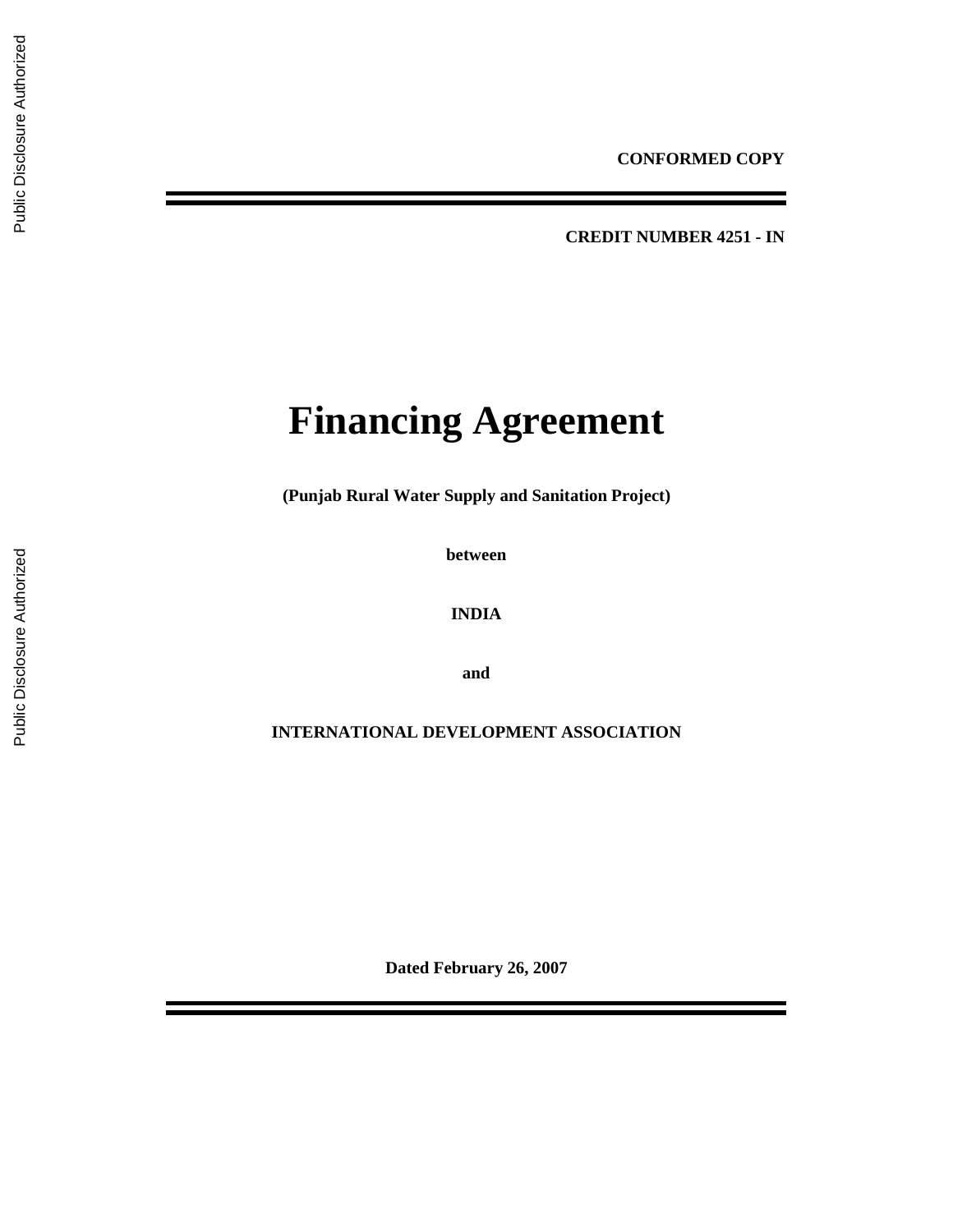**CREDIT NUMBER 4251 - IN** 

# **Financing Agreement**

**(Punjab Rural Water Supply and Sanitation Project)** 

**between** 

**INDIA** 

**and** 

**INTERNATIONAL DEVELOPMENT ASSOCIATION** 

**Dated February 26, 2007**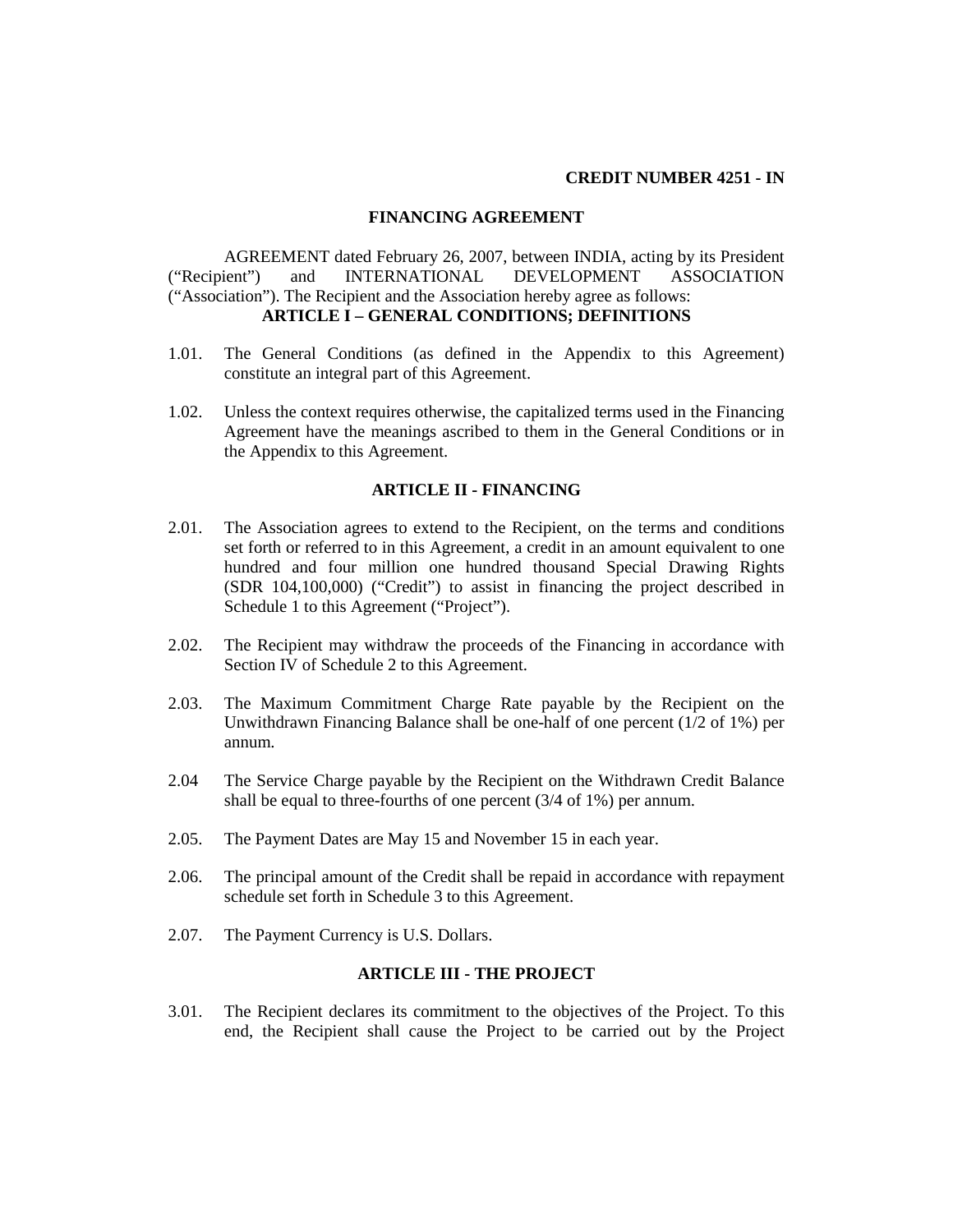#### **CREDIT NUMBER 4251 - IN**

#### **FINANCING AGREEMENT**

AGREEMENT dated February 26, 2007, between INDIA, acting by its President ("Recipient") and INTERNATIONAL DEVELOPMENT ASSOCIATION ("Association"). The Recipient and the Association hereby agree as follows: **ARTICLE I – GENERAL CONDITIONS; DEFINITIONS** 

- 1.01. The General Conditions (as defined in the Appendix to this Agreement) constitute an integral part of this Agreement.
- 1.02. Unless the context requires otherwise, the capitalized terms used in the Financing Agreement have the meanings ascribed to them in the General Conditions or in the Appendix to this Agreement.

#### **ARTICLE II - FINANCING**

- 2.01. The Association agrees to extend to the Recipient, on the terms and conditions set forth or referred to in this Agreement, a credit in an amount equivalent to one hundred and four million one hundred thousand Special Drawing Rights (SDR 104,100,000) ("Credit") to assist in financing the project described in Schedule 1 to this Agreement ("Project").
- 2.02. The Recipient may withdraw the proceeds of the Financing in accordance with Section IV of Schedule 2 to this Agreement.
- 2.03. The Maximum Commitment Charge Rate payable by the Recipient on the Unwithdrawn Financing Balance shall be one-half of one percent (1/2 of 1%) per annum.
- 2.04 The Service Charge payable by the Recipient on the Withdrawn Credit Balance shall be equal to three-fourths of one percent (3/4 of 1%) per annum.
- 2.05. The Payment Dates are May 15 and November 15 in each year.
- 2.06. The principal amount of the Credit shall be repaid in accordance with repayment schedule set forth in Schedule 3 to this Agreement.
- 2.07. The Payment Currency is U.S. Dollars.

# **ARTICLE III - THE PROJECT**

3.01. The Recipient declares its commitment to the objectives of the Project. To this end, the Recipient shall cause the Project to be carried out by the Project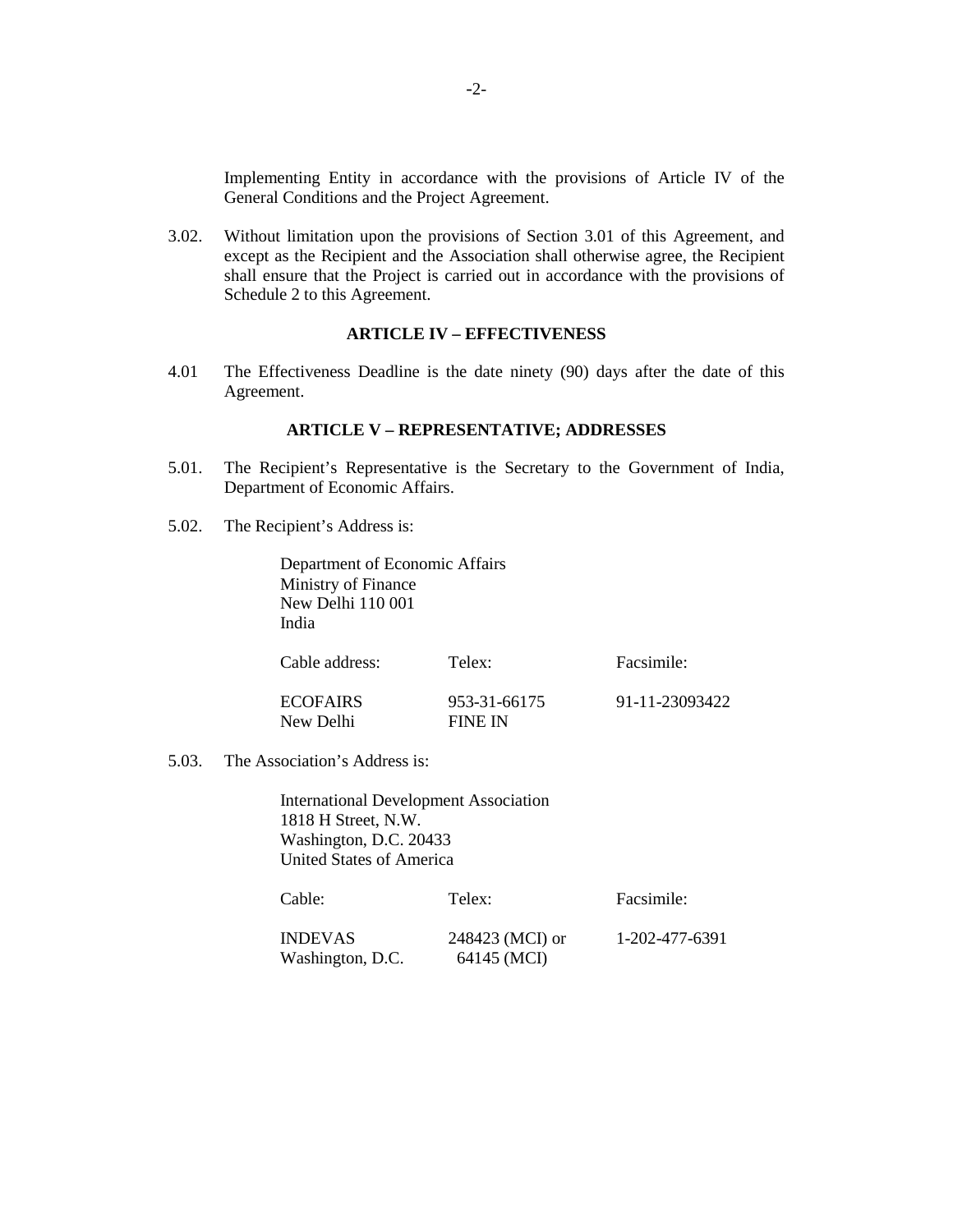Implementing Entity in accordance with the provisions of Article IV of the General Conditions and the Project Agreement.

3.02. Without limitation upon the provisions of Section 3.01 of this Agreement, and except as the Recipient and the Association shall otherwise agree, the Recipient shall ensure that the Project is carried out in accordance with the provisions of Schedule 2 to this Agreement.

## **ARTICLE IV – EFFECTIVENESS**

4.01 The Effectiveness Deadline is the date ninety (90) days after the date of this Agreement.

#### **ARTICLE V – REPRESENTATIVE; ADDRESSES**

- 5.01. The Recipient's Representative is the Secretary to the Government of India, Department of Economic Affairs.
- 5.02. The Recipient's Address is:

Department of Economic Affairs Ministry of Finance New Delhi 110 001 India

| Cable address:  | Telex:       | Facsimile:     |
|-----------------|--------------|----------------|
| <b>ECOFAIRS</b> | 953-31-66175 | 91-11-23093422 |
| New Delhi       | FINE IN      |                |

5.03. The Association's Address is:

International Development Association 1818 H Street, N.W. Washington, D.C. 20433 United States of America

| Cable:           | Telex:          | Facsimile:     |
|------------------|-----------------|----------------|
| <b>INDEVAS</b>   | 248423 (MCI) or | 1-202-477-6391 |
| Washington, D.C. | 64145 (MCI)     |                |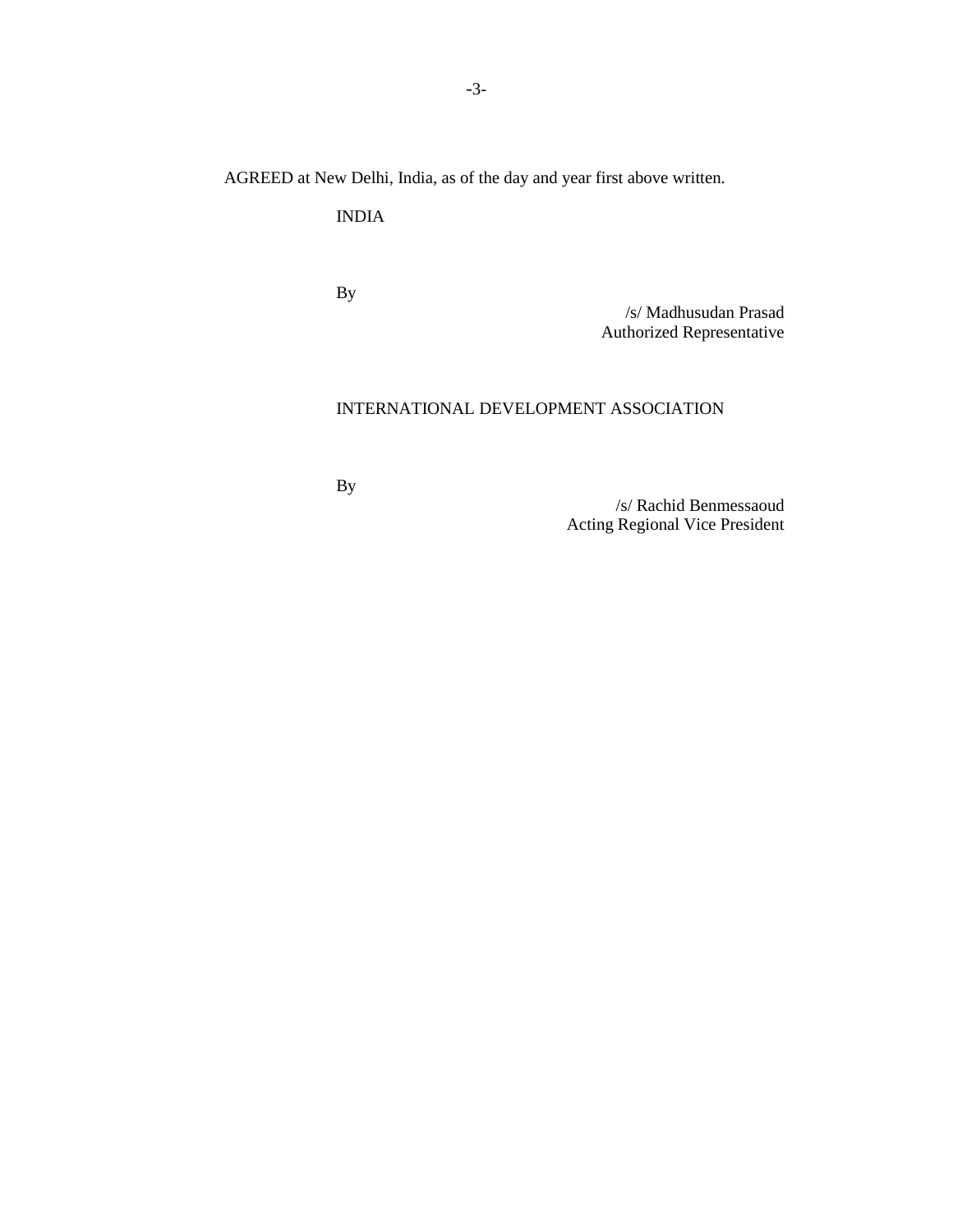AGREED at New Delhi, India, as of the day and year first above written.

INDIA

By

/s/ Madhusudan Prasad Authorized Representative

# INTERNATIONAL DEVELOPMENT ASSOCIATION

By

/s/ Rachid Benmessaoud Acting Regional Vice President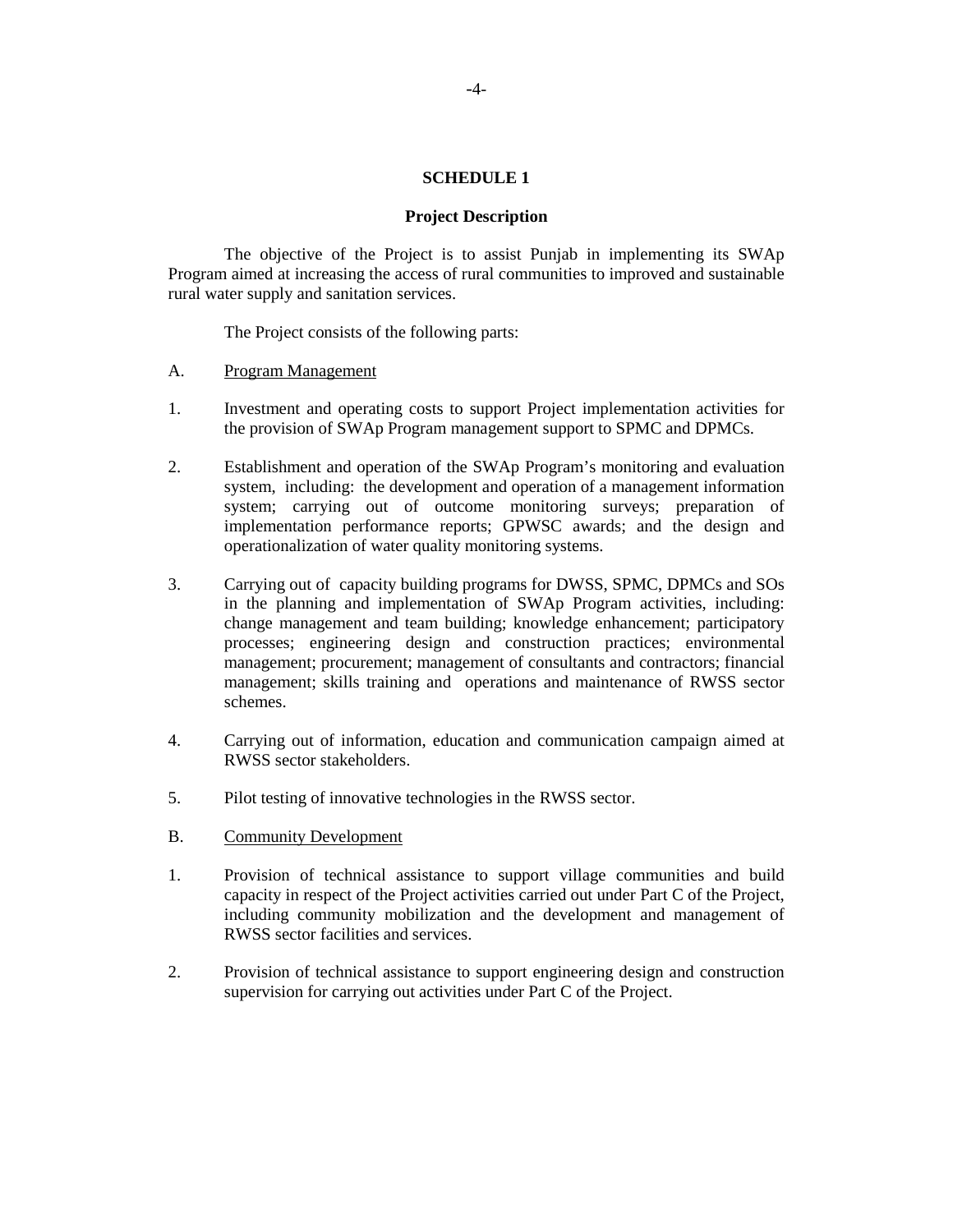#### **SCHEDULE 1**

#### **Project Description**

The objective of the Project is to assist Punjab in implementing its SWAp Program aimed at increasing the access of rural communities to improved and sustainable rural water supply and sanitation services.

The Project consists of the following parts:

- A. Program Management
- 1. Investment and operating costs to support Project implementation activities for the provision of SWAp Program management support to SPMC and DPMCs.
- 2. Establishment and operation of the SWAp Program's monitoring and evaluation system, including: the development and operation of a management information system; carrying out of outcome monitoring surveys; preparation of implementation performance reports; GPWSC awards; and the design and operationalization of water quality monitoring systems.
- 3. Carrying out of capacity building programs for DWSS, SPMC, DPMCs and SOs in the planning and implementation of SWAp Program activities, including: change management and team building; knowledge enhancement; participatory processes; engineering design and construction practices; environmental management; procurement; management of consultants and contractors; financial management; skills training and operations and maintenance of RWSS sector schemes.
- 4. Carrying out of information, education and communication campaign aimed at RWSS sector stakeholders.
- 5. Pilot testing of innovative technologies in the RWSS sector.
- B. Community Development
- 1. Provision of technical assistance to support village communities and build capacity in respect of the Project activities carried out under Part C of the Project, including community mobilization and the development and management of RWSS sector facilities and services.
- 2. Provision of technical assistance to support engineering design and construction supervision for carrying out activities under Part C of the Project.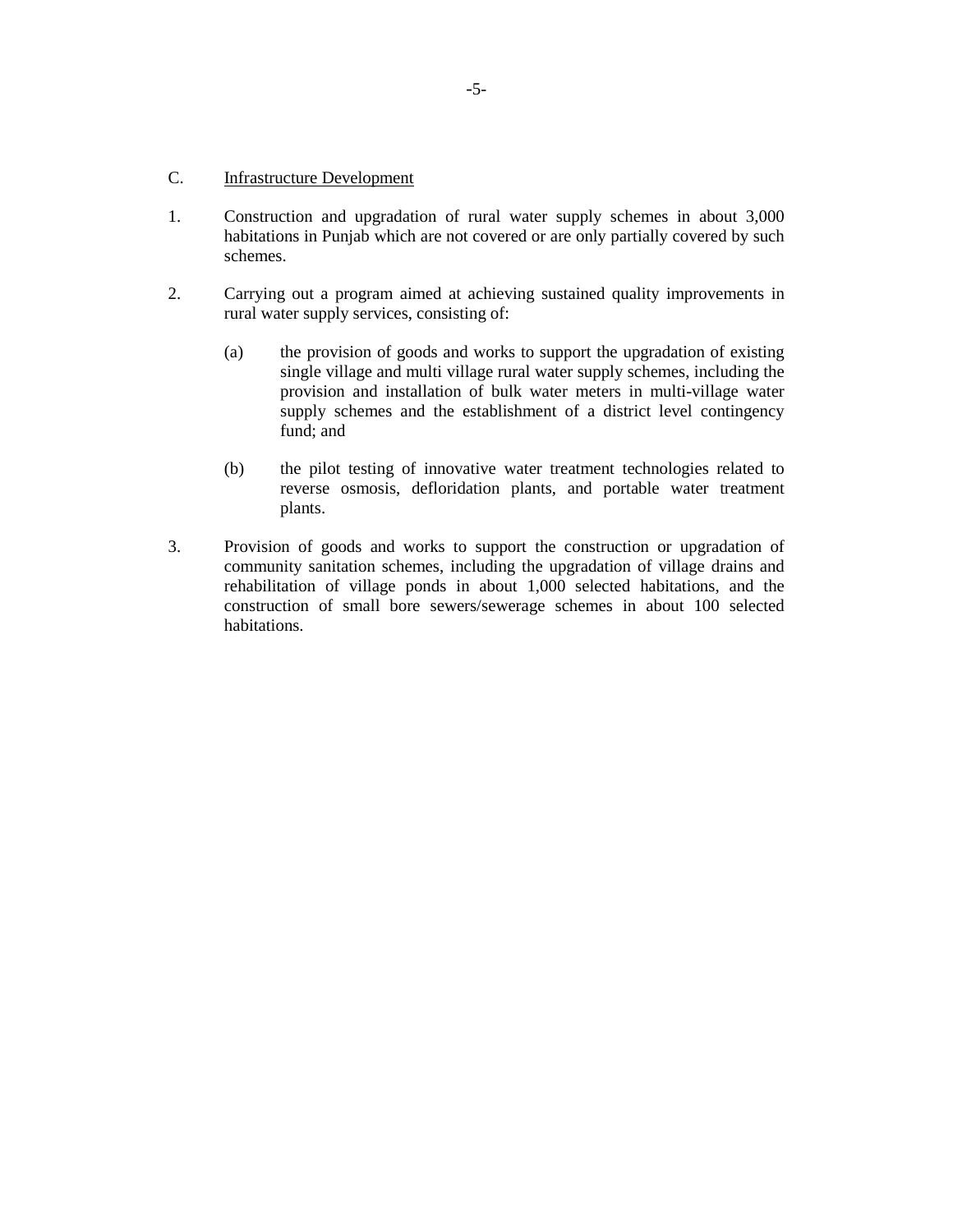#### C. Infrastructure Development

- 1. Construction and upgradation of rural water supply schemes in about 3,000 habitations in Punjab which are not covered or are only partially covered by such schemes.
- 2. Carrying out a program aimed at achieving sustained quality improvements in rural water supply services, consisting of:
	- (a) the provision of goods and works to support the upgradation of existing single village and multi village rural water supply schemes, including the provision and installation of bulk water meters in multi-village water supply schemes and the establishment of a district level contingency fund; and
	- (b) the pilot testing of innovative water treatment technologies related to reverse osmosis, defloridation plants, and portable water treatment plants.
- 3. Provision of goods and works to support the construction or upgradation of community sanitation schemes, including the upgradation of village drains and rehabilitation of village ponds in about 1,000 selected habitations, and the construction of small bore sewers/sewerage schemes in about 100 selected habitations.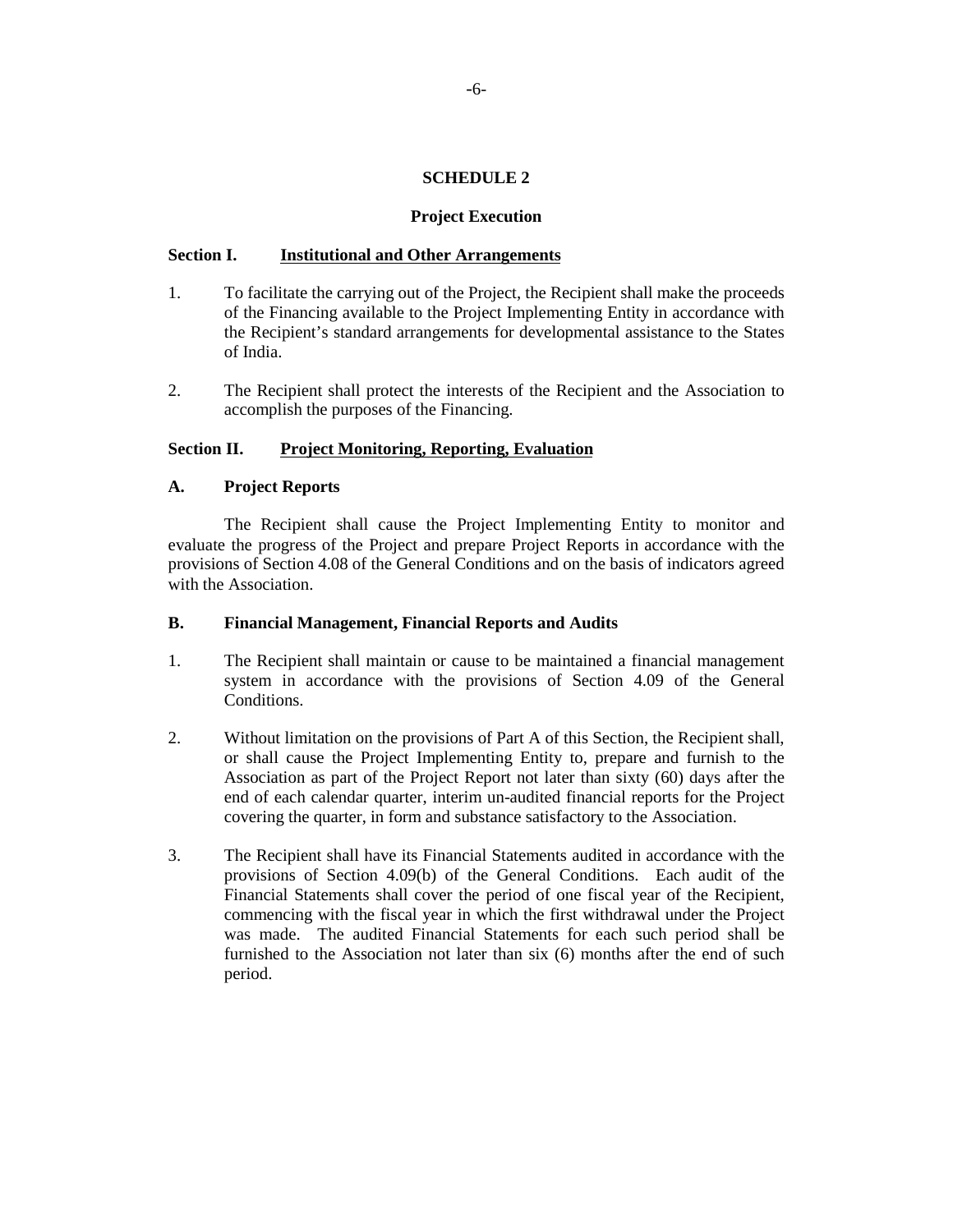## **SCHEDULE 2**

#### **Project Execution**

#### **Section I. Institutional and Other Arrangements**

- 1. To facilitate the carrying out of the Project, the Recipient shall make the proceeds of the Financing available to the Project Implementing Entity in accordance with the Recipient's standard arrangements for developmental assistance to the States of India.
- 2. The Recipient shall protect the interests of the Recipient and the Association to accomplish the purposes of the Financing.

## **Section II. Project Monitoring, Reporting, Evaluation**

## **A. Project Reports**

The Recipient shall cause the Project Implementing Entity to monitor and evaluate the progress of the Project and prepare Project Reports in accordance with the provisions of Section 4.08 of the General Conditions and on the basis of indicators agreed with the Association.

#### **B. Financial Management, Financial Reports and Audits**

- 1. The Recipient shall maintain or cause to be maintained a financial management system in accordance with the provisions of Section 4.09 of the General Conditions.
- 2. Without limitation on the provisions of Part A of this Section, the Recipient shall, or shall cause the Project Implementing Entity to, prepare and furnish to the Association as part of the Project Report not later than sixty (60) days after the end of each calendar quarter, interim un-audited financial reports for the Project covering the quarter, in form and substance satisfactory to the Association.
- 3. The Recipient shall have its Financial Statements audited in accordance with the provisions of Section 4.09(b) of the General Conditions. Each audit of the Financial Statements shall cover the period of one fiscal year of the Recipient, commencing with the fiscal year in which the first withdrawal under the Project was made. The audited Financial Statements for each such period shall be furnished to the Association not later than six (6) months after the end of such period.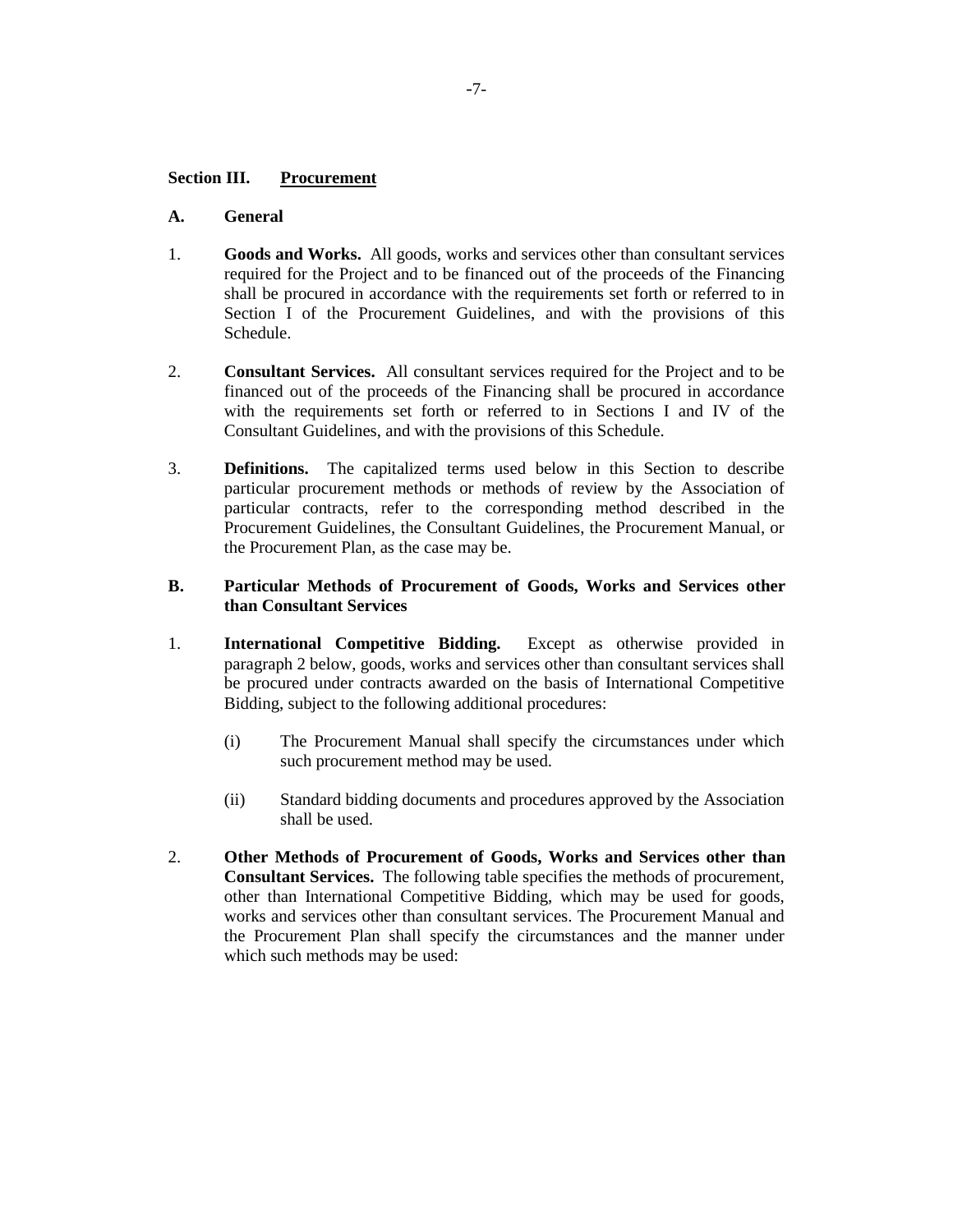## **Section III. Procurement**

## **A. General**

- 1. **Goods and Works.** All goods, works and services other than consultant services required for the Project and to be financed out of the proceeds of the Financing shall be procured in accordance with the requirements set forth or referred to in Section I of the Procurement Guidelines, and with the provisions of this Schedule.
- 2. **Consultant Services.** All consultant services required for the Project and to be financed out of the proceeds of the Financing shall be procured in accordance with the requirements set forth or referred to in Sections I and IV of the Consultant Guidelines, and with the provisions of this Schedule.
- 3. **Definitions.** The capitalized terms used below in this Section to describe particular procurement methods or methods of review by the Association of particular contracts, refer to the corresponding method described in the Procurement Guidelines, the Consultant Guidelines, the Procurement Manual, or the Procurement Plan, as the case may be.

## **B. Particular Methods of Procurement of Goods, Works and Services other than Consultant Services**

- 1. **International Competitive Bidding.** Except as otherwise provided in paragraph 2 below, goods, works and services other than consultant services shall be procured under contracts awarded on the basis of International Competitive Bidding, subject to the following additional procedures:
	- (i) The Procurement Manual shall specify the circumstances under which such procurement method may be used.
	- (ii) Standard bidding documents and procedures approved by the Association shall be used.
- 2. **Other Methods of Procurement of Goods, Works and Services other than Consultant Services.** The following table specifies the methods of procurement, other than International Competitive Bidding, which may be used for goods, works and services other than consultant services. The Procurement Manual and the Procurement Plan shall specify the circumstances and the manner under which such methods may be used: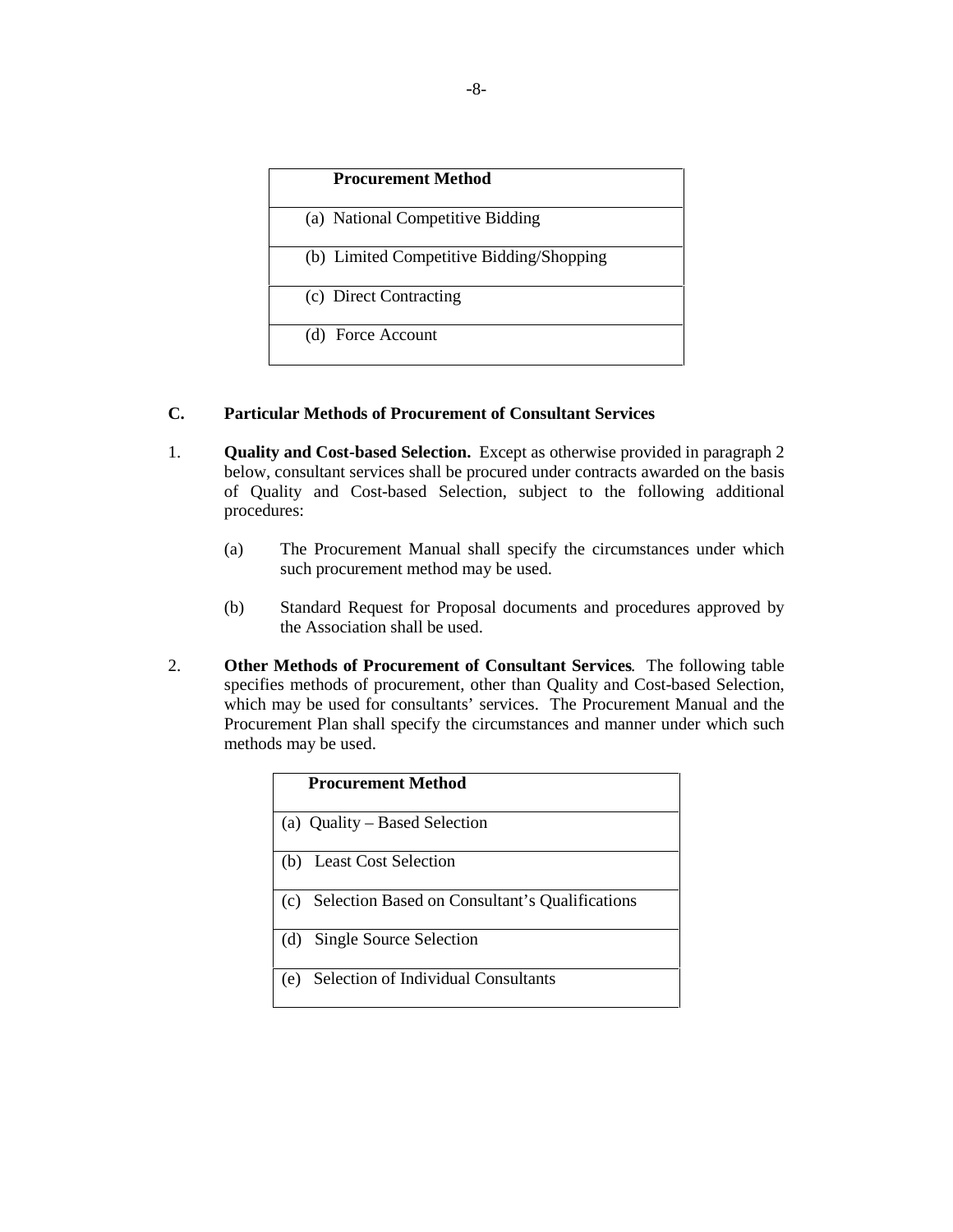| <b>Procurement Method</b>                |  |
|------------------------------------------|--|
| (a) National Competitive Bidding         |  |
| (b) Limited Competitive Bidding/Shopping |  |
| (c) Direct Contracting                   |  |
| (d) Force Account                        |  |

## **C. Particular Methods of Procurement of Consultant Services**

- 1. **Quality and Cost-based Selection.** Except as otherwise provided in paragraph 2 below, consultant services shall be procured under contracts awarded on the basis of Quality and Cost-based Selection, subject to the following additional procedures:
	- (a) The Procurement Manual shall specify the circumstances under which such procurement method may be used.
	- (b) Standard Request for Proposal documents and procedures approved by the Association shall be used.
- 2. **Other Methods of Procurement of Consultant Services**. The following table specifies methods of procurement, other than Quality and Cost-based Selection, which may be used for consultants' services. The Procurement Manual and the Procurement Plan shall specify the circumstances and manner under which such methods may be used.

| <b>Procurement Method</b>                             |  |  |
|-------------------------------------------------------|--|--|
| (a) Quality – Based Selection                         |  |  |
| <b>Least Cost Selection</b><br>(b)                    |  |  |
| Selection Based on Consultant's Qualifications<br>(c) |  |  |
| Single Source Selection<br>(d)                        |  |  |
| Selection of Individual Consultants<br>(e)            |  |  |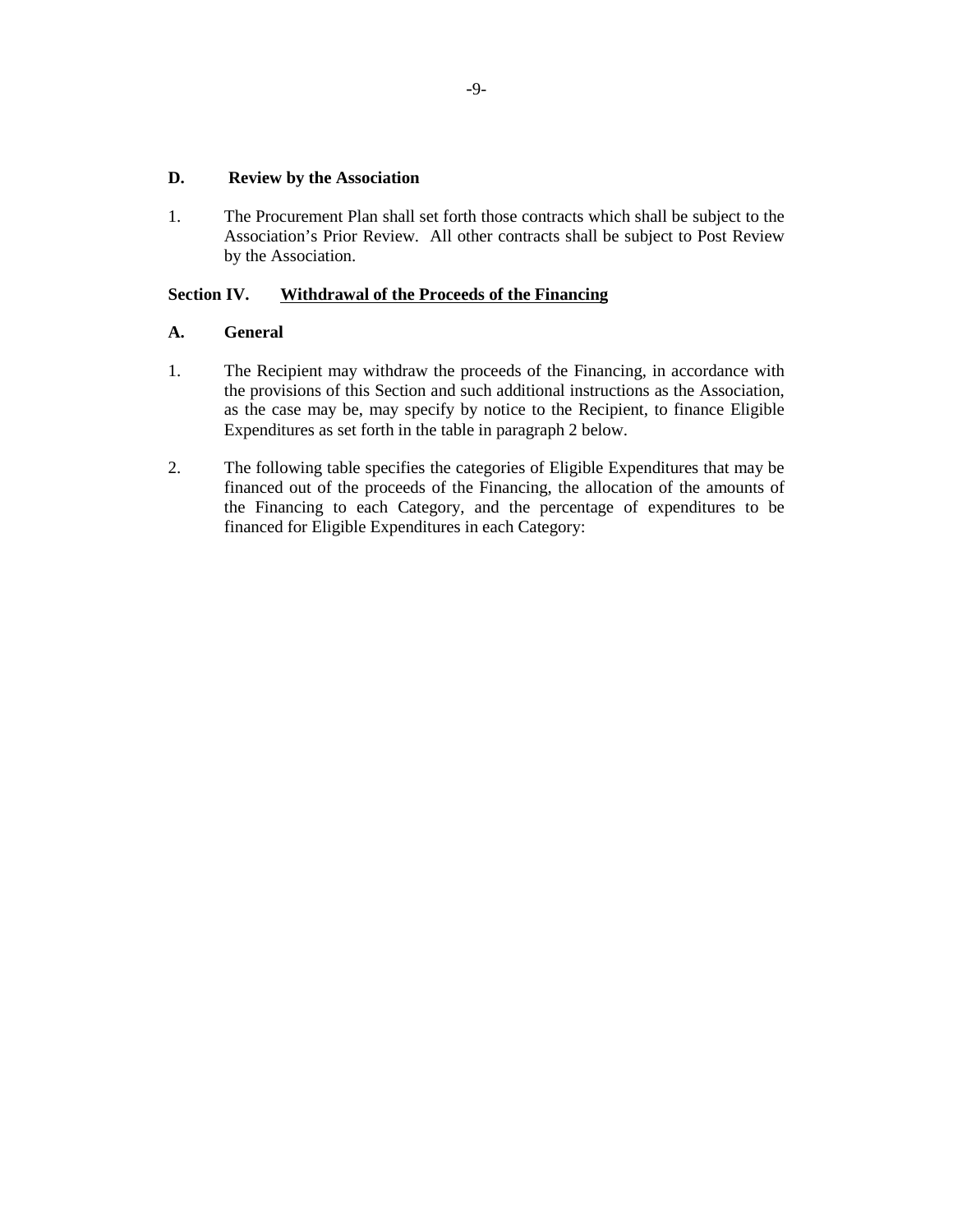## **D. Review by the Association**

1. The Procurement Plan shall set forth those contracts which shall be subject to the Association's Prior Review. All other contracts shall be subject to Post Review by the Association.

# **Section IV. Withdrawal of the Proceeds of the Financing**

# **A. General**

- 1. The Recipient may withdraw the proceeds of the Financing, in accordance with the provisions of this Section and such additional instructions as the Association, as the case may be, may specify by notice to the Recipient, to finance Eligible Expenditures as set forth in the table in paragraph 2 below.
- 2. The following table specifies the categories of Eligible Expenditures that may be financed out of the proceeds of the Financing, the allocation of the amounts of the Financing to each Category, and the percentage of expenditures to be financed for Eligible Expenditures in each Category: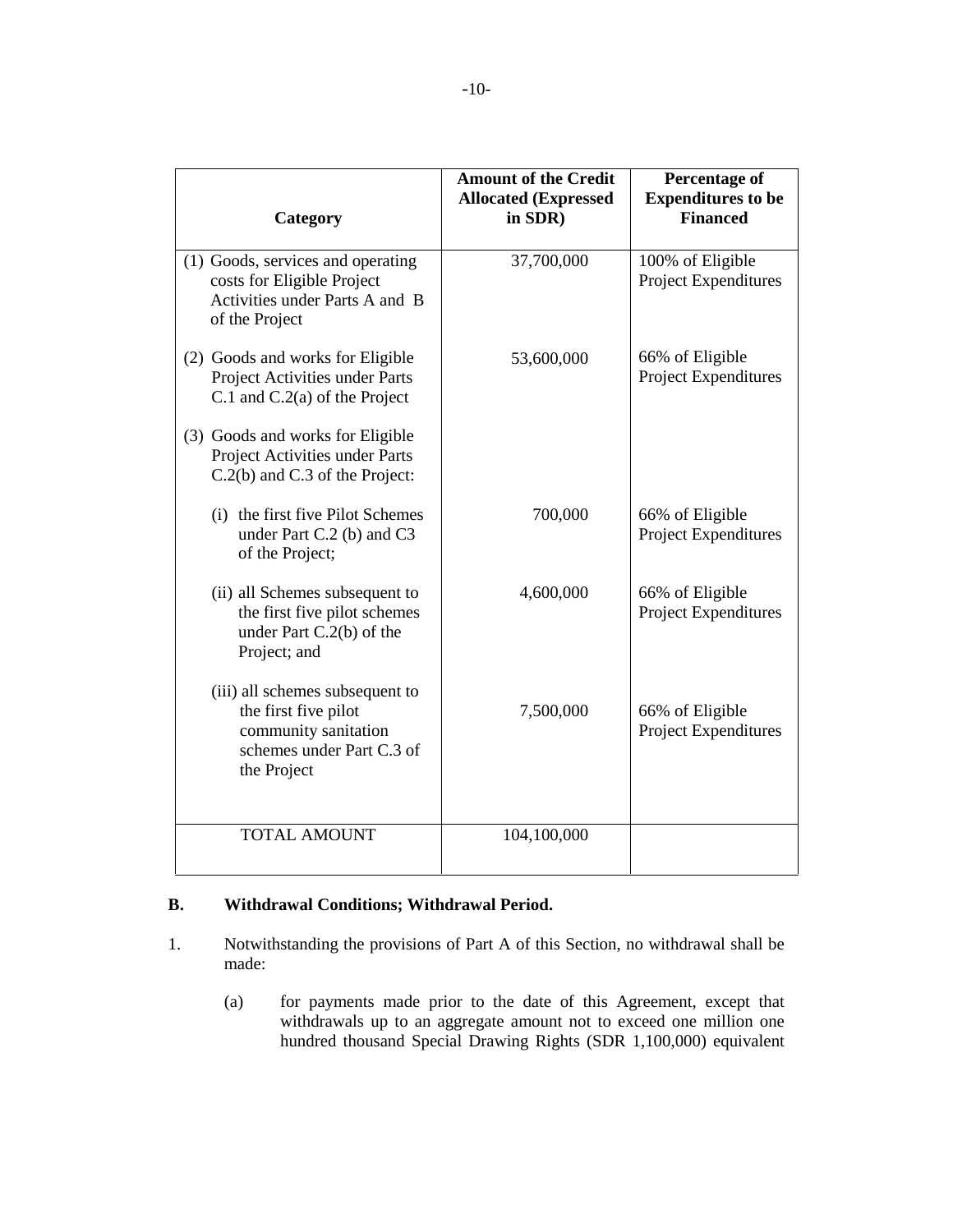| Category                                                                                                                    | <b>Amount of the Credit</b><br><b>Allocated (Expressed)</b><br>in SDR) | <b>Percentage of</b><br><b>Expenditures to be</b><br><b>Financed</b> |
|-----------------------------------------------------------------------------------------------------------------------------|------------------------------------------------------------------------|----------------------------------------------------------------------|
| (1) Goods, services and operating<br>costs for Eligible Project<br>Activities under Parts A and B<br>of the Project         | 37,700,000                                                             | 100% of Eligible<br><b>Project Expenditures</b>                      |
| (2) Goods and works for Eligible<br>Project Activities under Parts<br>C.1 and $C.2(a)$ of the Project                       | 53,600,000                                                             | 66% of Eligible<br>Project Expenditures                              |
| (3) Goods and works for Eligible<br>Project Activities under Parts<br>C.2(b) and C.3 of the Project:                        |                                                                        |                                                                      |
| (i) the first five Pilot Schemes<br>under Part C.2 (b) and C3<br>of the Project;                                            | 700,000                                                                | 66% of Eligible<br>Project Expenditures                              |
| (ii) all Schemes subsequent to<br>the first five pilot schemes<br>under Part $C.2(b)$ of the<br>Project; and                | 4,600,000                                                              | 66% of Eligible<br><b>Project Expenditures</b>                       |
| (iii) all schemes subsequent to<br>the first five pilot<br>community sanitation<br>schemes under Part C.3 of<br>the Project | 7,500,000                                                              | 66% of Eligible<br>Project Expenditures                              |
| <b>TOTAL AMOUNT</b>                                                                                                         | 104,100,000                                                            |                                                                      |

# **B. Withdrawal Conditions; Withdrawal Period.**

- 1. Notwithstanding the provisions of Part A of this Section, no withdrawal shall be made:
	- (a) for payments made prior to the date of this Agreement, except that withdrawals up to an aggregate amount not to exceed one million one hundred thousand Special Drawing Rights (SDR 1,100,000) equivalent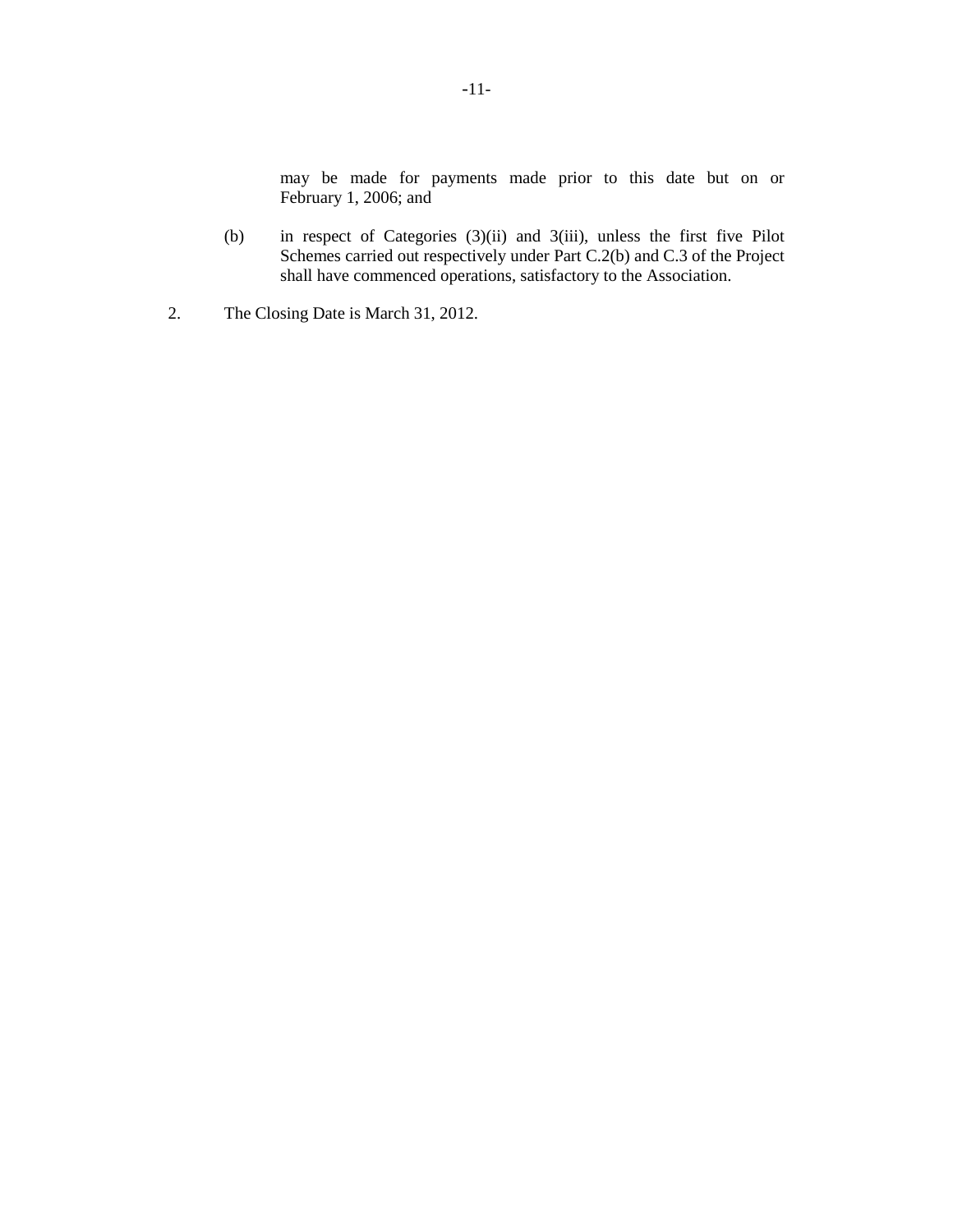may be made for payments made prior to this date but on or February 1, 2006; and

- (b) in respect of Categories (3)(ii) and 3(iii), unless the first five Pilot Schemes carried out respectively under Part C.2(b) and C.3 of the Project shall have commenced operations, satisfactory to the Association.
- 2. The Closing Date is March 31, 2012.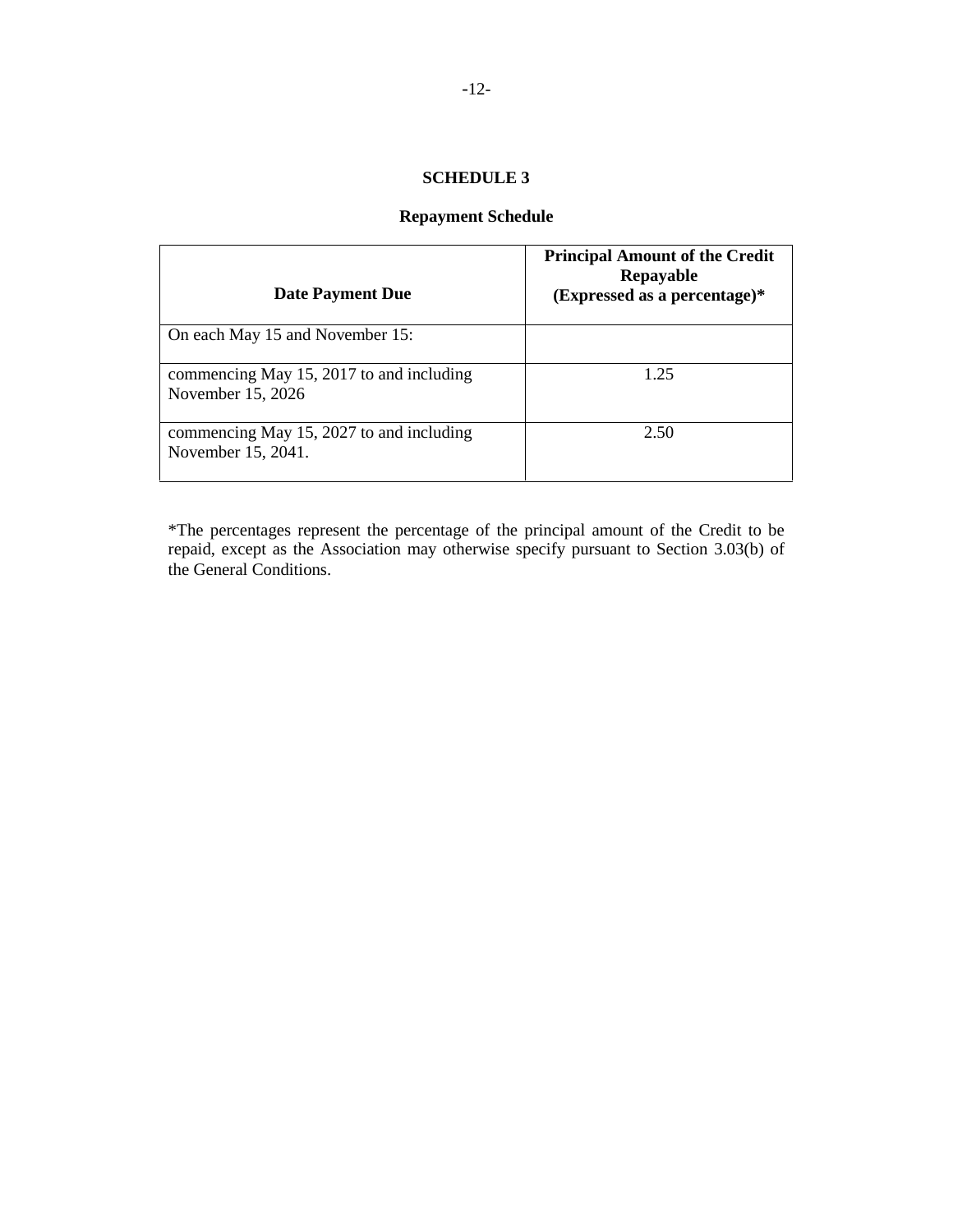# **Repayment Schedule**

| <b>Date Payment Due</b>                                        | <b>Principal Amount of the Credit</b><br>Repayable<br>$(Expressed as a percentage)*$ |  |
|----------------------------------------------------------------|--------------------------------------------------------------------------------------|--|
| On each May 15 and November 15:                                |                                                                                      |  |
| commencing May 15, 2017 to and including<br>November 15, 2026  | 1 25                                                                                 |  |
| commencing May 15, 2027 to and including<br>November 15, 2041. | 2.50                                                                                 |  |

\*The percentages represent the percentage of the principal amount of the Credit to be repaid, except as the Association may otherwise specify pursuant to Section 3.03(b) of the General Conditions.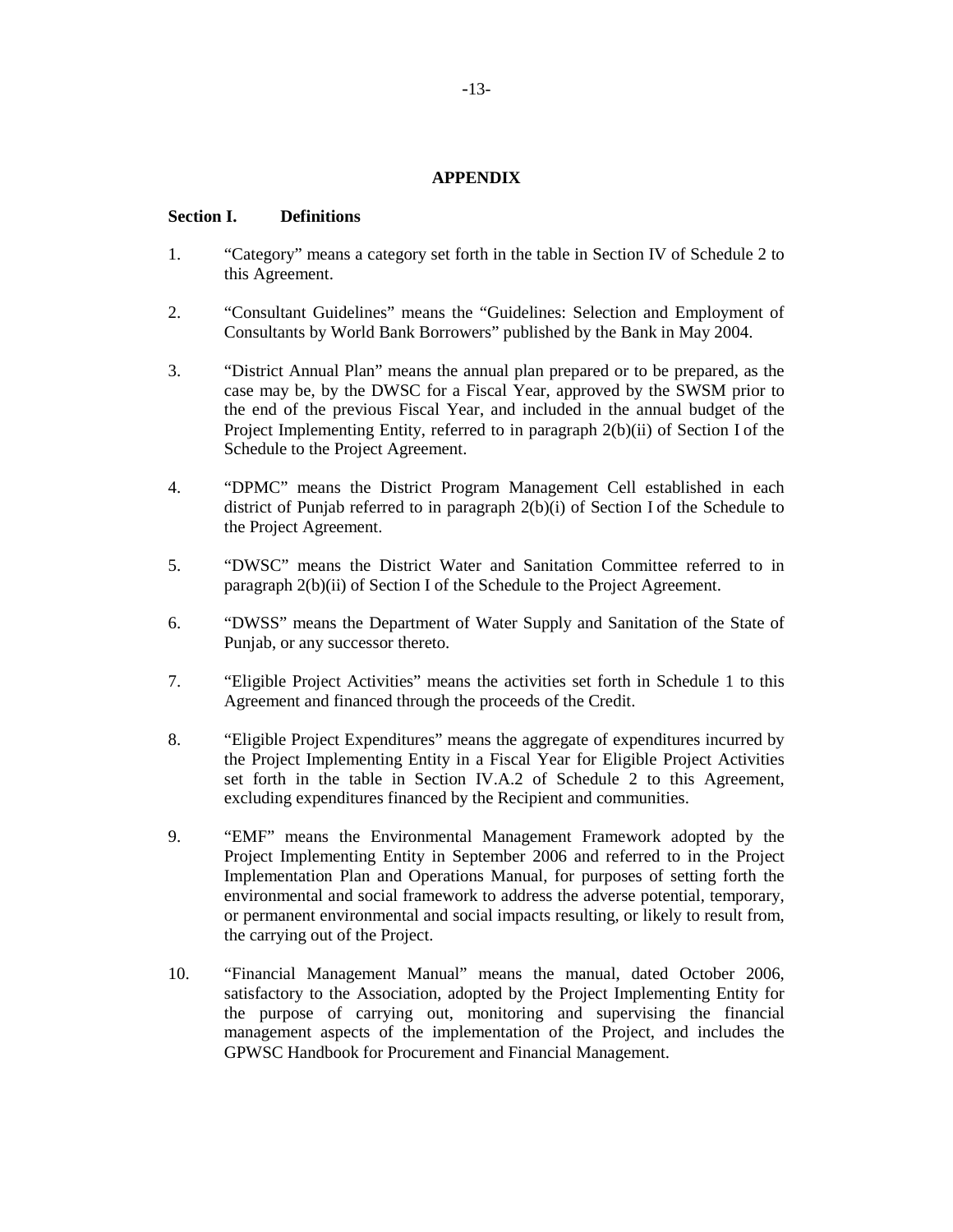## **APPENDIX**

#### **Section I. Definitions**

- 1. "Category" means a category set forth in the table in Section IV of Schedule 2 to this Agreement.
- 2. "Consultant Guidelines" means the "Guidelines: Selection and Employment of Consultants by World Bank Borrowers" published by the Bank in May 2004.
- 3. "District Annual Plan" means the annual plan prepared or to be prepared, as the case may be, by the DWSC for a Fiscal Year, approved by the SWSM prior to the end of the previous Fiscal Year, and included in the annual budget of the Project Implementing Entity, referred to in paragraph 2(b)(ii) of Section I of the Schedule to the Project Agreement.
- 4. "DPMC" means the District Program Management Cell established in each district of Punjab referred to in paragraph 2(b)(i) of Section I of the Schedule to the Project Agreement.
- 5. "DWSC" means the District Water and Sanitation Committee referred to in paragraph 2(b)(ii) of Section I of the Schedule to the Project Agreement.
- 6. "DWSS" means the Department of Water Supply and Sanitation of the State of Punjab, or any successor thereto.
- 7. "Eligible Project Activities" means the activities set forth in Schedule 1 to this Agreement and financed through the proceeds of the Credit.
- 8. "Eligible Project Expenditures" means the aggregate of expenditures incurred by the Project Implementing Entity in a Fiscal Year for Eligible Project Activities set forth in the table in Section IV.A.2 of Schedule 2 to this Agreement, excluding expenditures financed by the Recipient and communities.
- 9. "EMF" means the Environmental Management Framework adopted by the Project Implementing Entity in September 2006 and referred to in the Project Implementation Plan and Operations Manual, for purposes of setting forth the environmental and social framework to address the adverse potential, temporary, or permanent environmental and social impacts resulting, or likely to result from, the carrying out of the Project.
- 10. "Financial Management Manual" means the manual, dated October 2006, satisfactory to the Association, adopted by the Project Implementing Entity for the purpose of carrying out, monitoring and supervising the financial management aspects of the implementation of the Project, and includes the GPWSC Handbook for Procurement and Financial Management.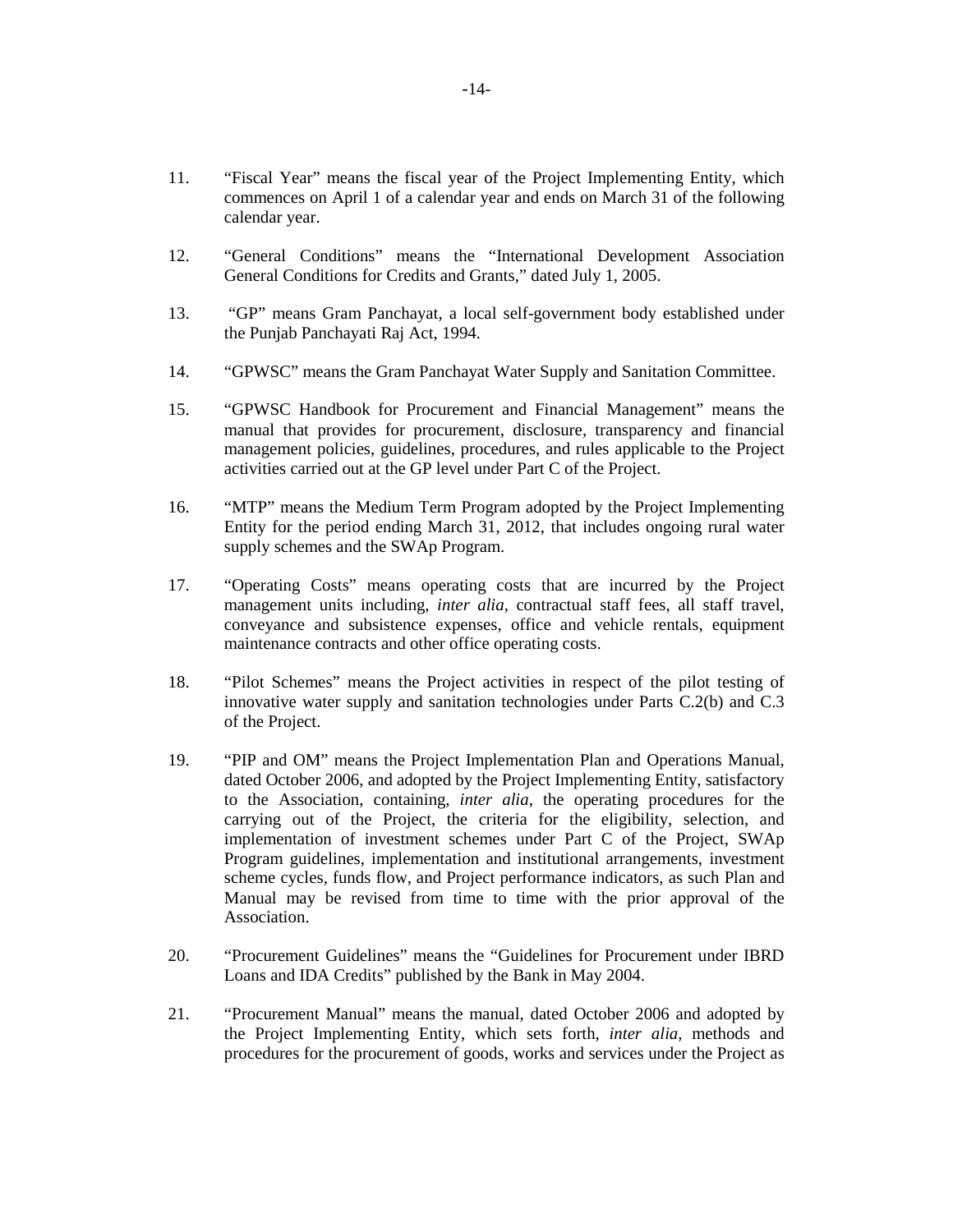- 11. "Fiscal Year" means the fiscal year of the Project Implementing Entity, which commences on April 1 of a calendar year and ends on March 31 of the following calendar year.
- 12. "General Conditions" means the "International Development Association General Conditions for Credits and Grants," dated July 1, 2005.
- 13. "GP" means Gram Panchayat, a local self-government body established under the Punjab Panchayati Raj Act, 1994.
- 14. "GPWSC" means the Gram Panchayat Water Supply and Sanitation Committee.
- 15. "GPWSC Handbook for Procurement and Financial Management" means the manual that provides for procurement, disclosure, transparency and financial management policies, guidelines, procedures, and rules applicable to the Project activities carried out at the GP level under Part C of the Project.
- 16. "MTP" means the Medium Term Program adopted by the Project Implementing Entity for the period ending March 31, 2012, that includes ongoing rural water supply schemes and the SWAp Program.
- 17. "Operating Costs" means operating costs that are incurred by the Project management units including, *inter alia*, contractual staff fees, all staff travel, conveyance and subsistence expenses, office and vehicle rentals, equipment maintenance contracts and other office operating costs.
- 18. "Pilot Schemes" means the Project activities in respect of the pilot testing of innovative water supply and sanitation technologies under Parts C.2(b) and C.3 of the Project.
- 19. "PIP and OM" means the Project Implementation Plan and Operations Manual, dated October 2006, and adopted by the Project Implementing Entity, satisfactory to the Association, containing, *inter alia*, the operating procedures for the carrying out of the Project, the criteria for the eligibility, selection, and implementation of investment schemes under Part C of the Project, SWAp Program guidelines, implementation and institutional arrangements, investment scheme cycles, funds flow, and Project performance indicators, as such Plan and Manual may be revised from time to time with the prior approval of the Association.
- 20. "Procurement Guidelines" means the "Guidelines for Procurement under IBRD Loans and IDA Credits" published by the Bank in May 2004.
- 21. "Procurement Manual" means the manual, dated October 2006 and adopted by the Project Implementing Entity, which sets forth, *inter alia*, methods and procedures for the procurement of goods, works and services under the Project as